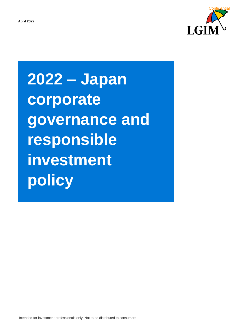

**2022 – Japan corporate governance and responsible investment policy**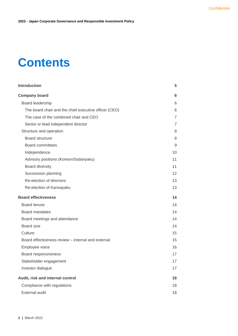# **Contents**

| <b>Introduction</b>                                   | 5               |
|-------------------------------------------------------|-----------------|
| <b>Company board</b>                                  | 6               |
| Board leadership                                      | 6               |
| The board chair and the chief executive officer (CEO) | 6               |
| The case of the combined chair and CEO                | $\overline{7}$  |
| Senior or lead independent director                   | 7               |
| Structure and operation                               | 8               |
| <b>Board structure</b>                                | 8               |
| <b>Board committees</b>                               | 9               |
| Independence                                          | 10              |
| Advisory positions (Komon/Sodanyaku)                  | 11              |
| Board diversity                                       | 11              |
| Succession planning                                   | 12 <sup>2</sup> |
| Re-election of directors                              | 13              |
| Re-election of Kansayaku                              | 13              |
| <b>Board effectiveness</b>                            | 14              |
| Board tenure                                          | 14              |
| <b>Board mandates</b>                                 | 14              |
| Board meetings and attendance                         | 14              |
| <b>Board size</b>                                     | 14              |
| Culture                                               | 15              |
| Board effectiveness review – internal and external    | 15              |
| Employee voice                                        | 16              |
| Board responsiveness                                  | 17              |
| Stakeholder engagement                                | 17              |
| Investor dialogue                                     | 17              |
| Audit, risk and internal control                      | 18              |
| Compliance with regulations                           | 18              |
| <b>External audit</b>                                 | 18              |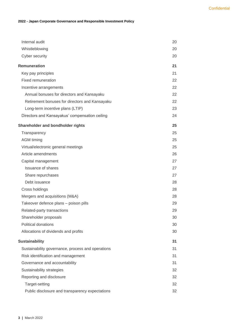#### **2022 - Japan Corporate Governance and Responsible Investment Policy**

| Internal audit                                    | 20 |
|---------------------------------------------------|----|
| Whistleblowing                                    | 20 |
| Cyber security                                    | 20 |
| <b>Remuneration</b>                               | 21 |
| Key pay principles                                | 21 |
| Fixed remuneration                                | 22 |
| Incentive arrangements                            | 22 |
| Annual bonuses for directors and Kansayaku        | 22 |
| Retirement bonuses for directors and Kansayaku    | 22 |
| Long-term incentive plans (LTIP)                  | 23 |
| Directors and Kansayakus' compensation ceiling    | 24 |
| Shareholder and bondholder rights                 | 25 |
| Transparency                                      | 25 |
| <b>AGM</b> timing                                 | 25 |
| Virtual/electronic general meetings               | 25 |
| Article amendments                                | 26 |
| Capital management                                | 27 |
| <b>Issuance of shares</b>                         | 27 |
| Share repurchases                                 | 27 |
| Debt issuance                                     | 28 |
| Cross holdings                                    | 28 |
| Mergers and acquisitions (M&A)                    | 28 |
| Takeover defence plans - poison pills             | 29 |
| Related-party transactions                        | 29 |
| Shareholder proposals                             | 30 |
| Political donations                               | 30 |
| Allocations of dividends and profits              | 30 |
| <b>Sustainability</b>                             | 31 |
| Sustainability governance, process and operations | 31 |
| Risk identification and management                | 31 |
| Governance and accountability                     | 31 |
| Sustainability strategies                         | 32 |
| Reporting and disclosure                          | 32 |
| Target-setting                                    | 32 |
| Public disclosure and transparency expectations   | 32 |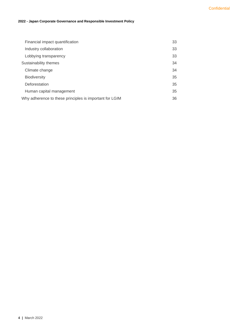#### **2022 - Japan Corporate Governance and Responsible Investment Policy**

| Financial impact quantification                         | 33 |
|---------------------------------------------------------|----|
| Industry collaboration                                  | 33 |
| Lobbying transparency                                   | 33 |
| Sustainability themes                                   | 34 |
| Climate change                                          | 34 |
| <b>Biodiversity</b>                                     | 35 |
| Deforestation                                           | 35 |
| Human capital management                                | 35 |
| Why adherence to these principles is important for LGIM | 36 |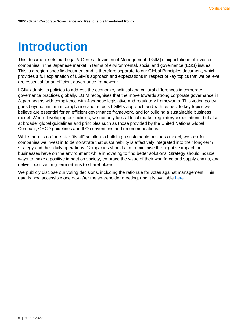# <span id="page-4-0"></span>**Introduction**

This document sets out Legal & General Investment Management (LGIM)'s expectations of investee companies in the Japanese market in terms of environmental, social and governance (ESG) issues. This is a region-specific document and is therefore separate to our Global Principles document, which provides a full explanation of LGIM's approach and expectations in respect of key topics that we believe are essential for an efficient governance framework.

LGIM adapts its policies to address the economic, political and cultural differences in corporate governance practices globally. LGIM recognises that the move towards strong corporate governance in Japan begins with compliance with Japanese legislative and regulatory frameworks. This voting policy goes beyond minimum compliance and reflects LGIM's approach and with respect to key topics we believe are essential for an efficient governance framework, and for building a sustainable business model. When developing our policies, we not only look at local market regulatory expectations, but also at broader global guidelines and principles such as those provided by the United Nations Global Compact, OECD guidelines and ILO conventions and recommendations.

While there is no "one-size-fits-all" solution to building a sustainable business model, we look for companies we invest in to demonstrate that sustainability is effectively integrated into their long-term strategy and their daily operations. Companies should aim to minimise the negative impact their businesses have on the environment while innovating to find better solutions. Strategy should include ways to make a positive impact on society, embrace the value of their workforce and supply chains, and deliver positive long-term returns to shareholders.

We publicly disclose our voting decisions, including the rationale for votes against management. This data is now accessible one day after the shareholder meeting, and it is available [here.](https://vds.issgovernance.com/vds/#/MjU2NQ==/)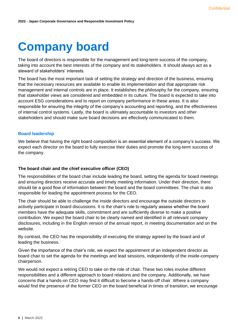# <span id="page-5-0"></span>**Company board**

The board of directors is responsible for the management and long-term success of the company, taking into account the best interests of the company and its stakeholders. It should always act as a steward of stakeholders' interests.

The board has the most important task of setting the strategy and direction of the business, ensuring that the necessary resources are available to enable its implementation and that appropriate risk management and internal controls are in place. It establishes the philosophy for the company, ensuring that stakeholder views are considered and embedded in its culture. The board is expected to take into account ESG considerations and to report on company performance in these areas. It is also responsible for ensuring the integrity of the company's accounting and reporting, and the effectiveness of internal control systems. Lastly, the board is ultimately accountable to investors and other stakeholders and should make sure board decisions are effectively communicated to them.

# <span id="page-5-1"></span>**Board leadership**

We believe that having the right board composition is an essential element of a company's success. We expect each director on the board to fully exercise their duties and promote the long-term success of the company.

# <span id="page-5-2"></span>**The board chair and the chief executive officer (CEO)**

The responsibilities of the board chair include leading the board, setting the agenda for board meetings and ensuring directors receive accurate and timely meeting information. Under their direction, there should be a good flow of information between the board and the board committees. The chair is also responsible for leading the appointment process for the CEO.

The chair should be able to challenge the inside directors and encourage the outside directors to actively participate in board discussions. It is the chair's role to regularly assess whether the board members have the adequate skills, commitment and are sufficiently diverse to make a positive contribution. We expect the board chair to be clearly named and identified in all relevant company disclosures, including in the English version of the annual report, in meeting documentation and on the website.

By contrast, the CEO has the responsibility of executing the strategy agreed by the board and of leading the business.

Given the importance of the chair's role, we expect the appointment of an independent director as board chair to set the agenda for the meetings and lead sessions, independently of the inside-company chairperson.

We would not expect a retiring CEO to take on the role of chair. These two roles involve different responsibilities and a different approach to board relations and the company. Additionally, we have concerns that a hands-on CEO may find it difficult to become a hands-off chair. Where a company would find the presence of the former CEO on the board beneficial in times of transition, we encourage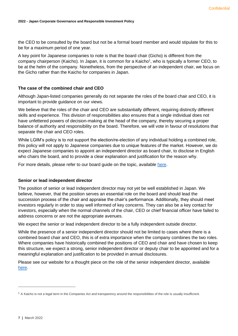the CEO to be consulted by the board but not be a formal board member and would stipulate for this to be for a maximum period of one year.

A key point for Japanese companies to note is that the board chair (Gicho) is different from the company chairperson (Kaicho). In Japan, it is common for a Kaicho<sup>1</sup>, who is typically a former CEO, to be at the helm of the company. Nonetheless, from the perspective of an independent chair, we focus on the Gicho rather than the Kaicho for companies in Japan.

# <span id="page-6-0"></span>**The case of the combined chair and CEO**

Although Japan-listed companies generally do not separate the roles of the board chair and CEO, it is important to provide guidance on our views.

We believe that the roles of the chair and CEO are substantially different, requiring distinctly different skills and experience. This division of responsibilities also ensures that a single individual does not have unfettered powers of decision-making at the head of the company, thereby securing a proper balance of authority and responsibility on the board. Therefore, we will vote in favour of resolutions that separate the chair and CEO roles.

While LGIM's policy is to not support the election/re-election of any individual holding a combined role, this policy will not apply to Japanese companies due to unique features of the market. However, we do expect Japanese companies to appoint an independent director as board chair, to disclose in English who chairs the board, and to provide a clear explanation and justification for the reason why.

For more details, please refer to our board guide on the topic, available [here.](https://www.lgim.com/landg-assets/lgim/_document-library/capabilities/separating-the-roles-of-ceo-and-board-chair.pdf)

### <span id="page-6-1"></span>**Senior or lead independent director**

The position of senior or lead independent director may not yet be well established in Japan. We believe, however, that the position serves an essential role on the board and should lead the succession process of the chair and appraise the chair's performance. Additionally, they should meet investors regularly in order to stay well informed of key concerns. They can also be a key contact for investors, especially when the normal channels of the chair, CEO or chief financial officer have failed to address concerns or are not the appropriate avenues.

We expect the senior or lead independent director to be a fully independent outside director.

While the presence of a senior independent director should not be limited to cases where there is a combined board chair and CEO, this is of extra importance when the company combines the two roles. Where companies have historically combined the positions of CEO and chair and have chosen to keep this structure, we expect a strong, senior independent director or deputy chair to be appointed and for a meaningful explanation and justification to be provided in annual disclosures.

Please see our website for a thought piece on the role of the senior independent director, available [here.](https://www.lgim.com/landg-assets/lgim/_document-library/capabilities/the-role-of-the-lead-independent-director.pdf)

 $1$  A Kaicho is not a legal term in the Companies Act and transparency around the responsibilities of the role is usually insufficient.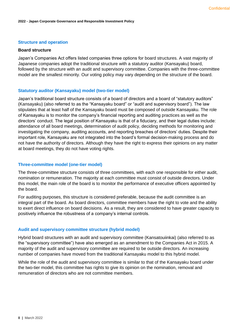### <span id="page-7-0"></span>**Structure and operation**

#### <span id="page-7-1"></span>**Board structure**

Japan's Companies Act offers listed companies three options for board structures. A vast majority of Japanese companies adopt the traditional structure with a statutory auditor (Kansayaku) board, followed by the structure with an audit and supervisory committee. Companies with the three-committee model are the smallest minority. Our voting policy may vary depending on the structure of the board.

### **Statutory auditor (Kansayaku) model (two-tier model)**

Japan's traditional board structure consists of a board of directors and a board of "statutory auditors" (Kansayaku) (also referred to as the "Kansayaku board" or "audit and supervisory board"). The law stipulates that at least half of the Kansayaku board must be composed of outside Kansayaku. The role of Kansayaku is to monitor the company's financial reporting and auditing practices as well as the directors' conduct. The legal position of Kansayaku is that of a fiduciary, and their legal duties include: attendance of all board meetings, determination of audit policy, deciding methods for monitoring and investigating the company, auditing accounts, and reporting breaches of directors' duties. Despite their important role, Kansayaku are not integrated into the board's formal decision-making process and do not have the authority of directors. Although they have the right to express their opinions on any matter at board meetings, they do not have voting rights.

# **Three-committee model (one-tier model)**

The three-committee structure consists of three committees, with each one responsible for either audit, nomination or remuneration. The majority at each committee must consist of outside directors. Under this model, the main role of the board is to monitor the performance of executive officers appointed by the board.

For auditing purposes, this structure is considered preferable, because the audit committee is an integral part of the board. As board directors, committee members have the right to vote and the ability to exert direct influence on board decisions. As a result, they are considered to have greater capacity to positively influence the robustness of a company's internal controls.

### **Audit and supervisory committee structure (hybrid model)**

Hybrid board structures with an audit and supervisory committee (Kansatouiinkai) (also referred to as the "supervisory committee") have also emerged as an amendment to the Companies Act in 2015. A majority of the audit and supervisory committee are required to be outside directors. An increasing number of companies have moved from the traditional Kansayaku model to this hybrid model.

While the role of the audit and supervisory committee is similar to that of the Kansayaku board under the two-tier model, this committee has rights to give its opinion on the nomination, removal and remuneration of directors who are not committee members.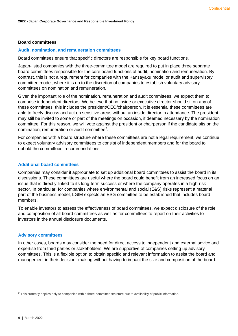# <span id="page-8-0"></span>**Board committees**

# **Audit, nomination, and remuneration committees**

Board committees ensure that specific directors are responsible for key board functions.

Japan-listed companies with the three-committee model are required to put in place three separate board committees responsible for the core board functions of audit, nomination and remuneration. By contrast, this is not a requirement for companies with the Kansayaku model or audit and supervisory committee model, where it is up to the discretion of companies to establish voluntary advisory committees on nomination and remuneration.

Given the important role of the nomination, remuneration and audit committees, we expect them to comprise independent directors. We believe that no inside or executive director should sit on any of these committees; this includes the president/CEO/chairperson. It is essential these committees are able to freely discuss and act on sensitive areas without an inside director in attendance. The president may still be invited to some or part of the meetings on occasion, if deemed necessary by the nomination committee. For this reason, we will vote against the president or chairperson if the candidate sits on the nomination, remuneration or audit committee<sup>2</sup>.

For companies with a board structure where these committees are not a legal requirement, we continue to expect voluntary advisory committees to consist of independent members and for the board to uphold the committees' recommendations.

### **Additional board committees**

Companies may consider it appropriate to set up additional board committees to assist the board in its discussions. These committees are useful where the board could benefit from an increased focus on an issue that is directly linked to its long-term success or where the company operates in a high-risk sector. In particular, for companies where environmental and social (E&S) risks represent a material part of the business model, LGIM expects an ESG committee to be established that includes board members.

To enable investors to assess the effectiveness of board committees, we expect disclosure of the role and composition of all board committees as well as for committees to report on their activities to investors in the annual disclosure documents.

### **Advisory committees**

In other cases, boards may consider the need for direct access to independent and external advice and expertise from third parties or stakeholders. We are supportive of companies setting up advisory committees. This is a flexible option to obtain specific and relevant information to assist the board and management in their decision- making without having to impact the size and composition of the board.

<sup>&</sup>lt;sup>2</sup> This currently applies only to companies with a three-committee structure due to availability of public information.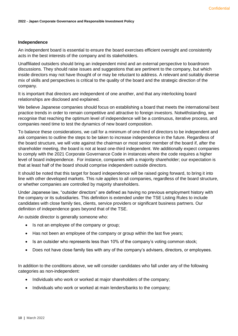### <span id="page-9-0"></span>**Independence**

An independent board is essential to ensure the board exercises efficient oversight and consistently acts in the best interests of the company and its stakeholders.

Unaffiliated outsiders should bring an independent mind and an external perspective to boardroom discussions. They should raise issues and suggestions that are pertinent to the company, but which inside directors may not have thought of or may be reluctant to address. A relevant and suitably diverse mix of skills and perspectives is critical to the quality of the board and the strategic direction of the company.

It is important that directors are independent of one another, and that any interlocking board relationships are disclosed and explained.

We believe Japanese companies should focus on establishing a board that meets the international best practice trends in order to remain competitive and attractive to foreign investors. Notwithstanding, we recognise that reaching the optimum level of independence will be a continuous, iterative process, and companies need time to test the dynamics of new board composition.

To balance these considerations, we call for a minimum of one-third of directors to be independent and ask companies to outline the steps to be taken to increase independence in the future. Regardless of the board structure, we will vote against the chairman or most senior member of the board if, after the shareholder meeting, the board is not at least one-third independent. We additionally expect companies to comply with the 2021 Corporate Governance Code in instances where the code requires a higher level of board independence. For instance, companies with a majority shareholder; our expectation is that at least half of the board should comprise independent outside directors.

It should be noted that this target for board independence will be raised going forward, to bring it into line with other developed markets. This rule applies to all companies, regardless of the board structure, or whether companies are controlled by majority shareholders.

Under Japanese law, "outsider directors" are defined as having no previous employment history with the company or its subsidiaries. This definition is extended under the TSE Listing Rules to include candidates with close family ties, clients, service providers or significant business partners. Our definition of independence goes beyond that of the TSE.

An outside director is generally someone who:

- Is not an employee of the company or group;
- Has not been an employee of the company or group within the last five years;
- Is an outsider who represents less than 10% of the company's voting common stock;
- Does not have close family ties with any of the company's advisers, directors, or employees.

In addition to the conditions above, we will consider candidates who fall under any of the following categories as non-independent:

- Individuals who work or worked at major shareholders of the company;
- Individuals who work or worked at main lenders/banks to the company;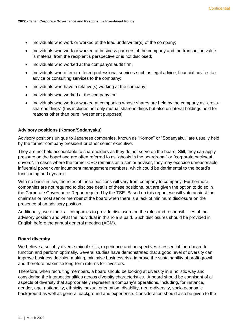- Individuals who work or worked at the lead underwriter(s) of the company;
- Individuals who work or worked at business partners of the company and the transaction value is material from the recipient's perspective or is not disclosed;
- Individuals who worked at the company's audit firm;
- Individuals who offer or offered professional services such as legal advice, financial advice, tax advice or consulting services to the company;
- Individuals who have a relative(s) working at the company;
- Individuals who worked at the company; or
- Individuals who work or worked at companies whose shares are held by the company as "crossshareholdings" (this includes not only mutual shareholdings but also unilateral holdings held for reasons other than pure investment purposes).

#### <span id="page-10-0"></span>**Advisory positions (Komon/Sodanyaku)**

Advisory positions unique to Japanese companies, known as "Komon" or "Sodanyaku," are usually held by the former company president or other senior executive.

They are not held accountable to shareholders as they do not serve on the board. Still, they can apply pressure on the board and are often referred to as "ghosts in the boardroom" or "corporate backseat drivers". In cases where the former CEO remains as a senior adviser, they may exercise unreasonable influential power over incumbent management members, which could be detrimental to the board's functioning and dynamic.

With no basis in law, the roles of these positions will vary from company to company. Furthermore, companies are not required to disclose details of these positions, but are given the option to do so in the Corporate Governance Report required by the TSE. Based on this report, we will vote against the chairman or most senior member of the board when there is a lack of minimum disclosure on the presence of an advisory position.

Additionally, we expect all companies to provide disclosure on the roles and responsibilities of the advisory position and what the individual in this role is paid. Such disclosures should be provided in English before the annual general meeting (AGM).

## <span id="page-10-1"></span>**Board diversity**

We believe a suitably diverse mix of skills, experience and perspectives is essential for a board to function and perform optimally. Several studies have demonstrated that a good level of diversity can improve business decision making, minimise business risk, improve the sustainability of profit growth and therefore maximise long-term returns for investors.

Therefore, when recruiting members, a board should be looking at diversity in a holistic way and considering the intersectionalities across diversity characteristics. A board should be cognisant of all aspects of diversity that appropriately represent a company's operations, including, for instance, gender, age, nationality, ethnicity, sexual orientation, disability, neuro-diversity, socio economic background as well as general background and experience. Consideration should also be given to the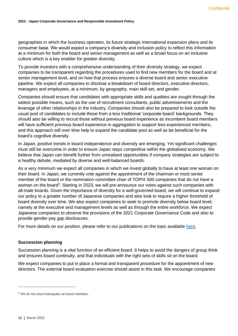geographies in which the business operates, its future strategic international expansion plans and its consumer base. We would expect a company's diversity and inclusion policy to reflect this information at a minimum for both the board and senior management as well as a broad focus on an inclusive culture which is a key enabler for greater diversity.

To provide investors with a comprehensive understanding of their diversity strategy, we expect companies to be transparent regarding the procedures used to find new members for the board and at senior management level, and on how that process ensures a diverse board and senior executive pipeline. We expect all companies to disclose a breakdown of board directors, executive directors, managers and employees, at a minimum, by geography, main skill set, and gender.

Companies should ensure that candidates with appropriate skills and qualities are sought through the widest possible means, such as the use of recruitment consultants, public advertisements and the leverage of other relationships in the industry. Companies should also be prepared to look outside the usual pool of candidates to include those from a less traditional 'corporate board' backgrounds. They should also be willing to recruit those without previous board experience as incumbent board members will have sufficient previous board experience in aggregation to support less experienced members, and this approach will over time help to expand the candidate pool as well as be beneficial for the board's cognitive diversity.

In Japan, positive trends in board independence and diversity are emerging. Yet significant challenges must still be overcome in order to ensure Japan stays competitive within the globalised economy. We believe that Japan can benefit further from unrealised opportunities if company strategies are subject to a healthy debate, mediated by diverse and well-balanced boards.

As a very minimum we expect all companies in which we invest globally to have at least one woman on their board. In Japan, we currently vote against the appointment of the chairman or most senior member of the board or the nomination committee chair of TOPIX 500 companies that do not have a woman on the board<sup>3</sup>. Starting in 2023, we will pre-announce our votes against such companies with all-male boards. Given the importance of diversity for a well-governed board, we will continue to expand our policy to a greater number of Japanese companies and also look to require a higher threshold of board diversity over time. We also expect companies to seek to promote diversity below board level, namely at the executive and management levels as well as through the entire workforce. We expect Japanese companies to observe the provisions of the 2021 Corporate Governance Code and also to provide gender pay gap disclosures.

For more details on our position, please refer to our publications on the topic available [here.](https://www.lgim.com/uk/en/capabilities/investment-stewardship/influencing-the-debate/)

# <span id="page-11-0"></span>**Succession planning**

Succession planning is a vital function of an efficient board. It helps to avoid the dangers of group think and ensures board continuity, and that individuals with the right sets of skills sit on the board.

We expect companies to put in place a formal and transparent procedure for the appointment of new directors. The external board evaluation exercise should assist in this task. We encourage companies

<sup>3</sup> We do not count Kansayaku as board members.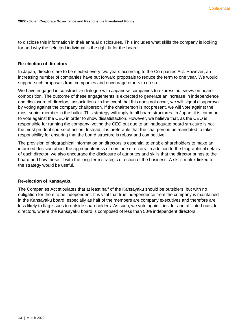to disclose this information in their annual disclosures. This includes what skills the company is looking for and why the selected individual is the right fit for the board.

## <span id="page-12-0"></span>**Re-election of directors**

In Japan, directors are to be elected every two years according to the Companies Act. However, an increasing number of companies have put forward proposals to reduce the term to one year. We would support such proposals from companies and encourage others to do so.

We have engaged in constructive dialogue with Japanese companies to express our views on board composition. The outcome of these engagements is expected to generate an increase in independence and disclosure of directors' associations. In the event that this does not occur, we will signal disapproval by voting against the company chairperson. If the chairperson is not present, we will vote against the most senior member in the ballot. This strategy will apply to all board structures. In Japan, it is common to vote against the CEO in order to show dissatisfaction. However, we believe that, as the CEO is responsible for running the company, voting the CEO out due to an inadequate board structure is not the most prudent course of action. Instead, it is preferable that the chairperson be mandated to take responsibility for ensuring that the board structure is robust and competitive.

The provision of biographical information on directors is essential to enable shareholders to make an informed decision about the appropriateness of nominee directors. In addition to the biographical details of each director, we also encourage the disclosure of attributes and skills that the director brings to the board and how these fit with the long-term strategic direction of the business. A skills matrix linked to the strategy would be useful.

# <span id="page-12-1"></span>**Re-election of Kansayaku**

The Companies Act stipulates that at least half of the Kansayaku should be outsiders, but with no obligation for them to be independent. It is vital that true independence from the company is maintained in the Kansayaku board, especially as half of the members are company executives and therefore are less likely to flag issues to outside shareholders. As such, we vote against insider and affiliated outside directors, where the Kansayaku board is composed of less than 50% independent directors.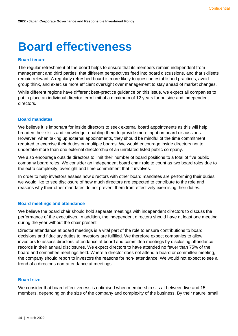# <span id="page-13-0"></span>**Board effectiveness**

#### <span id="page-13-1"></span>**Board tenure**

The regular refreshment of the board helps to ensure that its members remain independent from management and third parties, that different perspectives feed into board discussions, and that skillsets remain relevant. A regularly refreshed board is more likely to question established practices, avoid group think, and exercise more efficient oversight over management to stay ahead of market changes.

While different regions have different best-practice guidance on this issue, we expect all companies to put in place an individual director term limit of a maximum of 12 years for outside and independent directors.

#### <span id="page-13-2"></span>**Board mandates**

We believe it is important for inside directors to seek external board appointments as this will help broaden their skills and knowledge, enabling them to provide more input on board discussions. However, when taking up external appointments, they should be mindful of the time commitment required to exercise their duties on multiple boards. We would encourage inside directors not to undertake more than one external directorship of an unrelated listed public company.

We also encourage outside directors to limit their number of board positions to a total of five public company board roles. We consider an independent board chair role to count as two board roles due to the extra complexity, oversight and time commitment that it involves.

In order to help investors assess how directors with other board mandates are performing their duties, we would like to see disclosure of how much directors are expected to contribute to the role and reasons why their other mandates do not prevent them from effectively exercising their duties.

### <span id="page-13-3"></span>**Board meetings and attendance**

We believe the board chair should hold separate meetings with independent directors to discuss the performance of the executives. In addition, the independent directors should have at least one meeting during the year without the chair present.

Director attendance at board meetings is a vital part of the role to ensure contributions to board decisions and fiduciary duties to investors are fulfilled. We therefore expect companies to allow investors to assess directors' attendance at board and committee meetings by disclosing attendance records in their annual disclosures. We expect directors to have attended no fewer than 75% of the board and committee meetings held. Where a director does not attend a board or committee meeting, the company should report to investors the reasons for non- attendance. We would not expect to see a trend of a director's non-attendance at meetings.

# <span id="page-13-4"></span>**Board size**

We consider that board effectiveness is optimised when membership sits at between five and 15 members, depending on the size of the company and complexity of the business. By their nature, small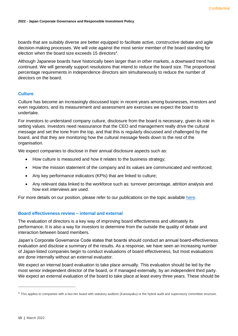boards that are suitably diverse are better equipped to facilitate active, constructive debate and agile decision-making processes. We will vote against the most senior member of the board standing for election when the board size exceeds 15 directors $4$ .

Although Japanese boards have historically been larger than in other markets, a downward trend has continued. We will generally support resolutions that intend to reduce the board size. The proportional percentage requirements in independence directors aim simultaneously to reduce the number of directors on the board.

# <span id="page-14-0"></span>**Culture**

Culture has become an increasingly discussed topic in recent years among businesses, investors and even regulators, and its measurement and assessment are exercises we expect the board to undertake.

For investors to understand company culture, disclosure from the board is necessary, given its role in setting values. Investors need reassurance that the CEO and management really drive the cultural message and set the tone from the top, and that this is regularly discussed and challenged by the board, and that they are monitoring how the cultural message feeds down to the rest of the organisation.

We expect companies to disclose in their annual disclosure aspects such as:

- How culture is measured and how it relates to the business strategy;
- How the mission statement of the company and its values are communicated and reinforced;
- Any key performance indicators (KPIs) that are linked to culture;
- Any relevant data linked to the workforce such as: turnover percentage, attrition analysis and how exit interviews are used.

For more details on our position, please refer to our publications on the topic available [here.](http://www.lgim.com/uk/en/capabilities/corporate-governance/influencing-the-debate/)

# <span id="page-14-1"></span>**Board effectiveness review – internal and external**

The evaluation of directors is a key way of improving board effectiveness and ultimately its performance. It is also a way for investors to determine from the outside the quality of debate and interaction between board members.

Japan's Corporate Governance Code states that boards should conduct an annual board-effectiveness evaluation and disclose a summary of the results. As a response, we have seen an increasing number of Japan-listed companies begin to conduct evaluations of board effectiveness, but most evaluations are done internally without an external evaluator.

We expect an internal board evaluation to take place annually. This evaluation should be led by the most senior independent director of the board, or if managed externally, by an independent third party. We expect an external evaluation of the board to take place at least every three years. These should be

<sup>&</sup>lt;sup>4</sup> This applies to companies with a two-tier board with statutory auditors (Kansayaku) or the hybrid audit and supervisory committee structure.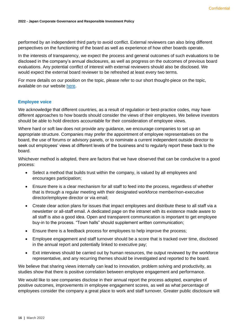performed by an independent third party to avoid conflict. External reviewers can also bring different perspectives on the functioning of the board as well as experience of how other boards operate.

In the interests of transparency, we expect the process and general outcomes of such evaluations to be disclosed in the company's annual disclosures, as well as progress on the outcomes of previous board evaluations. Any potential conflict of interest with external reviewers should also be disclosed. We would expect the external board reviewer to be refreshed at least every two terms.

For more details on our position on the topic, please refer to our short thought-piece on the topic, available on our website [here.](https://www.lgim.com/files/_document-library/%20capabilities/a-guide-to-board-effectiveness-reviews.pdf)

# <span id="page-15-0"></span>**Employee voice**

We acknowledge that different countries, as a result of regulation or best-practice codes, may have different approaches to how boards should consider the views of their employees. We believe investors should be able to hold directors accountable for their consideration of employee views.

Where hard or soft law does not provide any guidance, we encourage companies to set up an appropriate structure. Companies may prefer the appointment of employee representatives on the board, the use of forums or advisory panels, or to nominate a current independent outside director to seek out employees' views at different levels of the business and to regularly report these back to the board.

Whichever method is adopted, there are factors that we have observed that can be conducive to a good process:

- Select a method that builds trust within the company, is valued by all employees and encourages participation;
- Ensure there is a clear mechanism for all staff to feed into the process, regardless of whether that is through a regular meeting with their designated workforce member/non-executive director/employee director or via email;
- Create clear action plans for issues that impact employees and distribute these to all staff via a newsletter or all-staff email. A dedicated page on the intranet with its existence made aware to all staff is also a good idea. Open and transparent communication is important to get employee buy-in to the process. "Town halls" should supplement written communication;
- Ensure there is a feedback process for employees to help improve the process:
- Employee engagement and staff turnover should be a score that is tracked over time, disclosed in the annual report and potentially linked to executive pay;
- Exit interviews should be carried out by human resources, the output reviewed by the workforce representative, and any recurring themes should be investigated and reported to the board.

We believe that sharing views internally can lead to innovation, problem solving and productivity, as studies show that there is positive correlation between employee engagement and performance.

We would like to see companies disclose in their annual report the process adopted, examples of positive outcomes, improvements in employee engagement scores, as well as what percentage of employees consider the company a great place to work and staff turnover. Greater public disclosure will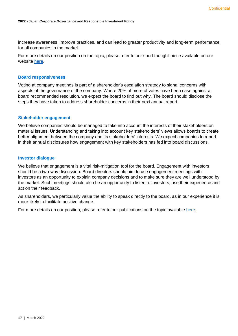increase awareness, improve practices, and can lead to greater productivity and long-term performance for all companies in the market.

For more details on our position on the topic, please refer to our short thought-piece available on our website [here.](https://www.lgim.com/landg-assets/lgim/_document-library/capabilities/a-guide-to-effective-employee-engagement.pdf)

#### <span id="page-16-0"></span>**Board responsiveness**

Voting at company meetings is part of a shareholder's escalation strategy to signal concerns with aspects of the governance of the company. Where 20% of more of votes have been case against a board recommended resolution, we expect the board to find out why. The board should disclose the steps they have taken to address shareholder concerns in their next annual report.

#### <span id="page-16-1"></span>**Stakeholder engagement**

We believe companies should be managed to take into account the interests of their stakeholders on material issues. Understanding and taking into account key stakeholders' views allows boards to create better alignment between the company and its stakeholders' interests. We expect companies to report in their annual disclosures how engagement with key stakeholders has fed into board discussions.

#### <span id="page-16-2"></span>**Investor dialogue**

We believe that engagement is a vital risk-mitigation tool for the board. Engagement with investors should be a two-way discussion. Board directors should aim to use engagement meetings with investors as an opportunity to explain company decisions and to make sure they are well understood by the market. Such meetings should also be an opportunity to listen to investors, use their experience and act on their feedback.

As shareholders, we particularly value the ability to speak directly to the board, as in our experience it is more likely to facilitate positive change.

For more details on our position, please refer to our publications on the topic available [here.](https://www.lgim.com/landg-assets/lgim/_document-library/capabilities/lgim-guide-to-board-investor-dialogue.pdf)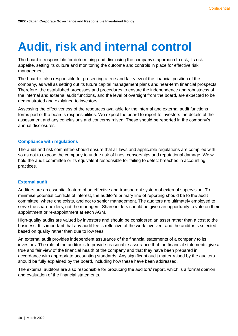# <span id="page-17-0"></span>**Audit, risk and internal control**

The board is responsible for determining and disclosing the company's approach to risk, its risk appetite, setting its culture and monitoring the outcome and controls in place for effective risk management.

The board is also responsible for presenting a true and fair view of the financial position of the company, as well as setting out its future capital management plans and near-term financial prospects. Therefore, the established processes and procedures to ensure the independence and robustness of the internal and external audit functions, and the level of oversight from the board, are expected to be demonstrated and explained to investors.

Assessing the effectiveness of the resources available for the internal and external audit functions forms part of the board's responsibilities. We expect the board to report to investors the details of the assessment and any conclusions and concerns raised. These should be reported in the company's annual disclosures.

# <span id="page-17-1"></span>**Compliance with regulations**

The audit and risk committee should ensure that all laws and applicable regulations are complied with so as not to expose the company to undue risk of fines, censorships and reputational damage. We will hold the audit committee or its equivalent responsible for failing to detect breaches in accounting practices.

# <span id="page-17-2"></span>**External audit**

Auditors are an essential feature of an effective and transparent system of external supervision. To minimise potential conflicts of interest, the auditor's primary line of reporting should be to the audit committee, where one exists, and not to senior management. The auditors are ultimately employed to serve the shareholders, not the managers. Shareholders should be given an opportunity to vote on their appointment or re-appointment at each AGM.

High-quality audits are valued by investors and should be considered an asset rather than a cost to the business. It is important that any audit fee is reflective of the work involved, and the auditor is selected based on quality rather than due to low fees.

An external audit provides independent assurance of the financial statements of a company to its investors. The role of the auditor is to provide reasonable assurance that the financial statements give a true and fair view of the financial health of the company and that they have been prepared in accordance with appropriate accounting standards. Any significant audit matter raised by the auditors should be fully explained by the board, including how these have been addressed.

The external auditors are also responsible for producing the auditors' report, which is a formal opinion and evaluation of the financial statements.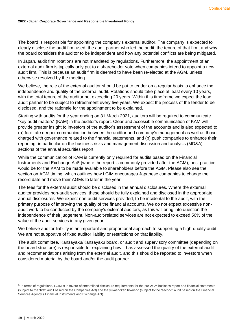The board is responsible for appointing the company's external auditor. The company is expected to clearly disclose the audit firm used, the audit partner who led the audit, the tenure of that firm, and why the board considers the auditor to be independent and how any potential conflicts are being mitigated.

In Japan, audit firm rotations are not mandated by regulations. Furthermore, the appointment of an external audit firm is typically only put to a shareholder vote when companies intend to appoint a new audit firm. This is because an audit firm is deemed to have been re-elected at the AGM, unless otherwise resolved by the meeting.

We believe, the role of the external auditor should be put to tender on a regular basis to enhance the independence and quality of the external audit. Rotations should take place at least every 10 years, with the total tenure of the auditor not exceeding 20 years. Within this timeframe we expect the lead audit partner to be subject to refreshment every five years. We expect the process of the tender to be disclosed, and the rationale for the appointment to be explained.

Starting with audits for the year ending on 31 March 2021, auditors will be required to communicate "key audit matters" (KAM) in the auditor's report. Clear and accessible communication of KAM will provide greater insight to investors of the auditor's assessment of the accounts and is also expected to (a) facilitate deeper communication between the auditor and company's management as well as those charged with governance related to the financial statements, and (b) push companies to enhance their reporting, in particular on the business risks and management discussion and analysis (MD&A) sections of the annual securities report.

While the communication of KAM is currently only required for audits based on the Financial Instruments and Exchange Act<sup>5</sup> (where the report is commonly provided after the AGM), best practice would be for the KAM to be made available to shareholders before the AGM. Please also see the section on AGM timing, which outlines how LGIM encourages Japanese companies to change the record date and move their AGMs to later in the year.

The fees for the external audit should be disclosed in the annual disclosures. Where the external auditor provides non-audit services, these should be fully explained and disclosed in the appropriate annual disclosures. We expect non-audit services provided, to be incidental to the audit, with the primary purpose of improving the quality of the financial accounts. We do not expect excessive nonaudit work to be conducted by the company's external auditors, as this will bring into question the independence of their judgement. Non-audit-related services are not expected to exceed 50% of the value of the audit services in any given year.

We believe auditor liability is an important and proportional approach to supporting a high-quality audit. We are not supportive of fixed auditor liability or restrictions on that liability.

The audit committee, Kansayaku/Kansayaku board, or audit and supervisory committee (depending on the board structure) is responsible for explaining how it has assessed the quality of the external audit and recommendations arising from the external audit, and this should be reported to investors when considered material by the board and/or the audit partner.

<sup>&</sup>lt;sup>5</sup> In terms of regulations, LGIM is in favour of streamlined disclosure requirements for the pre-AGM business report and financial statements (subject to the "first" audit based on the Companies Act) and the yukashoken hokusho (subject to the "second" audit based on the Financial Services Agency's Financial Instruments and Exchange Act).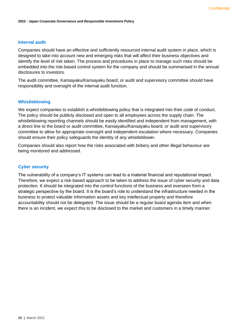# <span id="page-19-0"></span>**Internal audit**

Companies should have an effective and sufficiently resourced internal audit system in place, which is designed to take into account new and emerging risks that will affect their business objectives and identify the level of risk taken. The process and procedures in place to manage such risks should be embedded into the risk-based control system for the company and should be summarised in the annual disclosures to investors.

The audit committee, Kansayaku/Kansayaku board, or audit and supervisory committee should have responsibility and oversight of the internal audit function.

# <span id="page-19-1"></span>**Whistleblowing**

We expect companies to establish a whistleblowing policy that is integrated into their code of conduct. The policy should be publicly disclosed and open to all employees across the supply chain. The whistleblowing reporting channels should be easily identified and independent from management, with a direct line to the board or audit committee, Kansayaku/Kansayaku board, or audit and supervisory committee to allow for appropriate oversight and independent escalation where necessary. Companies should ensure their policy safeguards the identity of any whistleblower.

Companies should also report how the risks associated with bribery and other illegal behaviour are being monitored and addressed.

#### <span id="page-19-2"></span>**Cyber security**

The vulnerability of a company's IT systems can lead to a material financial and reputational impact. Therefore, we expect a risk-based approach to be taken to address the issue of cyber security and data protection. It should be integrated into the control functions of the business and overseen from a strategic perspective by the board. It is the board's role to understand the infrastructure needed in the business to protect valuable information assets and key intellectual property and therefore accountability should not be delegated. The issue should be a regular board agenda item and when there is an incident, we expect this to be disclosed to the market and customers in a timely manner.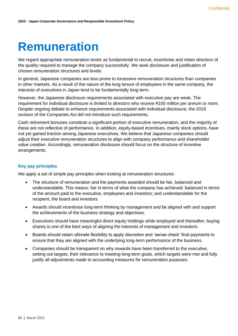# <span id="page-20-0"></span>**Remuneration**

We regard appropriate remuneration levels as fundamental to recruit, incentivise and retain directors of the quality required to manage the company successfully. We seek disclosure and justification of chosen remuneration structures and levels.

In general, Japanese companies are less prone to excessive remuneration structures than companies in other markets. As a result of the nature of the long tenure of employees in the same company, the interests of executives in Japan tend to be fundamentally long term.

However, the Japanese disclosure requirements associated with executive pay are weak. The requirement for individual disclosure is limited to directors who receive ¥100 million per annum or more. Despite ongoing debate to enhance requirements associated with individual disclosure, the 2019 revision of the Companies Act did not introduce such requirements.

Cash retirement bonuses constitute a significant portion of executive remuneration, and the majority of these are not reflective of performance. In addition, equity-based incentives, mainly stock options, have not yet gained traction among Japanese executives. We believe that Japanese companies should adjust their executive remuneration structures to align with company performance and shareholder value creation. Accordingly, remuneration disclosure should focus on the structure of incentive arrangements.

# <span id="page-20-1"></span>**Key pay principles**

We apply a set of simple pay principles when looking at remuneration structures:

- The structure of remuneration and the payments awarded should be fair, balanced and understandable. This means: fair in terms of what the company has achieved; balanced in terms of the amount paid to the executive, employees and investors; and understandable for the recipient, the board and investors.
- Awards should incentivise long-term thinking by management and be aligned with and support the achievements of the business strategy and objectives.
- Executives should have meaningful direct equity holdings while employed and thereafter; buying shares is one of the best ways of aligning the interests of management and investors.
- Boards should retain ultimate flexibility to apply discretion and 'sense check' final payments to ensure that they are aligned with the underlying long-term performance of the business.
- Companies should be transparent on why rewards have been transferred to the executive, setting out targets, their relevance to meeting long-term goals, which targets were met and fully justify all adjustments made to accounting measures for remuneration purposes.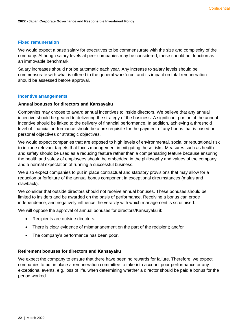# <span id="page-21-0"></span>**Fixed remuneration**

We would expect a base salary for executives to be commensurate with the size and complexity of the company. Although salary levels at peer companies may be considered, these should not function as an immovable benchmark.

Salary increases should not be automatic each year. Any increase to salary levels should be commensurate with what is offered to the general workforce, and its impact on total remuneration should be assessed before approval.

### <span id="page-21-1"></span>**Incentive arrangements**

# <span id="page-21-2"></span>**Annual bonuses for directors and Kansayaku**

Companies may choose to award annual incentives to inside directors. We believe that any annual incentive should be geared to delivering the strategy of the business. A significant portion of the annual incentive should be linked to the delivery of financial performance. In addition, achieving a threshold level of financial performance should be a pre-requisite for the payment of any bonus that is based on personal objectives or strategic objectives.

We would expect companies that are exposed to high levels of environmental, social or reputational risk to include relevant targets that focus management in mitigating these risks. Measures such as health and safety should be used as a reducing feature rather than a compensating feature because ensuring the health and safety of employees should be embedded in the philosophy and values of the company and a normal expectation of running a successful business.

We also expect companies to put in place contractual and statutory provisions that may allow for a reduction or forfeiture of the annual bonus component in exceptional circumstances (malus and clawback).

We consider that outside directors should not receive annual bonuses. These bonuses should be limited to insiders and be awarded on the basis of performance. Receiving a bonus can erode independence, and negatively influence the veracity with which management is scrutinised.

We will oppose the approval of annual bonuses for directors/Kansayaku if:

- Recipients are outside directors.
- There is clear evidence of mismanagement on the part of the recipient; and/or
- The company's performance has been poor.

### <span id="page-21-3"></span>**Retirement bonuses for directors and Kansayaku**

We expect the company to ensure that there have been no rewards for failure. Therefore, we expect companies to put in place a remuneration committee to take into account poor performance or any exceptional events, e.g. loss of life, when determining whether a director should be paid a bonus for the period worked.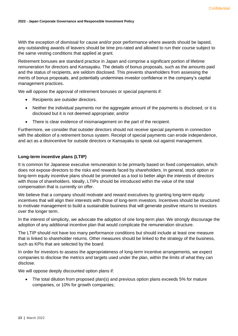With the exception of dismissal for cause and/or poor performance where awards should be lapsed, any outstanding awards of leavers should be time pro-rated and allowed to run their course subject to the same vesting conditions that applied at grant.

Retirement bonuses are standard practice in Japan and comprise a significant portion of lifetime remuneration for directors and Kansayaku. The details of bonus proposals, such as the amounts paid and the status of recipients, are seldom disclosed. This prevents shareholders from assessing the merits of bonus proposals, and potentially undermines investor confidence in the company's capital management practices.

We will oppose the approval of retirement bonuses or special payments if:

- Recipients are outsider directors.
- Neither the individual payments nor the aggregate amount of the payments is disclosed, or it is disclosed but it is not deemed appropriate; and/or
- There is clear evidence of mismanagement on the part of the recipient.

Furthermore, we consider that outsider directors should not receive special payments in connection with the abolition of a retirement bonus system. Receipt of special payments can erode independence, and act as a disincentive for outside directors or Kansayaku to speak out against management.

# <span id="page-22-0"></span>**Long-term incentive plans (LTIP)**

It is common for Japanese executive remuneration to be primarily based on fixed compensation, which does not expose directors to the risks and rewards faced by shareholders. In general, stock option or long-term equity incentive plans should be promoted as a tool to better align the interests of directors with those of shareholders. Ideally, LTIPs should be introduced within the value of the total compensation that is currently on offer.

We believe that a company should motivate and reward executives by granting long-term equity incentives that will align their interests with those of long-term investors. Incentives should be structured to motivate management to build a sustainable business that will generate positive returns to investors over the longer term.

In the interest of simplicity, we advocate the adoption of one long-term plan. We strongly discourage the adoption of any additional incentive plan that would complicate the remuneration structure.

The LTIP should not have too many performance conditions but should include at least one measure that is linked to shareholder returns. Other measures should be linked to the strategy of the business, such as KPIs that are selected by the board.

In order for investors to assess the appropriateness of long-term incentive arrangements, we expect companies to disclose the metrics and targets used under the plan, within the limits of what they can disclose.

We will oppose deeply discounted option plans if:

• The total dilution from proposed plan(s) and previous option plans exceeds 5% for mature companies, or 10% for growth companies;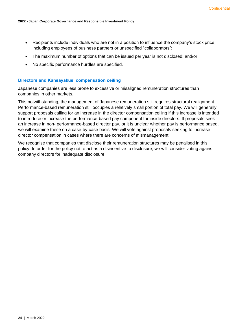- Recipients include individuals who are not in a position to influence the company's stock price, including employees of business partners or unspecified "collaborators";
- The maximum number of options that can be issued per year is not disclosed; and/or
- No specific performance hurdles are specified.

## <span id="page-23-0"></span>**Directors and Kansayakus' compensation ceiling**

Japanese companies are less prone to excessive or misaligned remuneration structures than companies in other markets.

This notwithstanding, the management of Japanese remuneration still requires structural realignment. Performance-based remuneration still occupies a relatively small portion of total pay. We will generally support proposals calling for an increase in the director compensation ceiling if this increase is intended to introduce or increase the performance-based pay component for inside directors. If proposals seek an increase in non- performance-based director pay, or it is unclear whether pay is performance based, we will examine these on a case-by-case basis. We will vote against proposals seeking to increase director compensation in cases where there are concerns of mismanagement.

We recognise that companies that disclose their remuneration structures may be penalised in this policy. In order for the policy not to act as a disincentive to disclosure, we will consider voting against company directors for inadequate disclosure.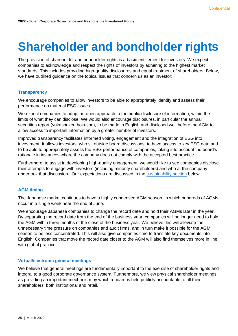# <span id="page-24-0"></span>**Shareholder and bondholder rights**

The provision of shareholder and bondholder rights is a basic entitlement for investors. We expect companies to acknowledge and respect the rights of investors by adhering to the highest market standards. This includes providing high-quality disclosures and equal treatment of shareholders. Below, we have outlined guidance on the topical issues that concern us as an investor:

# <span id="page-24-1"></span>**Transparency**

We encourage companies to allow investors to be able to appropriately identify and assess their performance on material ESG issues.

We expect companies to adopt an open approach to the public disclosure of information, within the limits of what they can disclose. We would also encourage disclosures, in particular the annual securities report (yukashoken hokusho), to be made in English and disclosed well before the AGM to allow access to important information by a greater number of investors.

Improved transparency facilitates informed voting, engagement and the integration of ESG into investment. It allows investors, who sit outside board discussions, to have access to key ESG data and to be able to appropriately assess the ESG performance of companies, taking into account the board's rationale in instances where the company does not comply with the accepted best practice.

Furthermore, to assist in developing high-quality engagement, we would like to see companies disclose their attempts to engage with investors (including minority shareholders) and who at the company undertook that discussion. Our expectations are discussed in the [sustainability section](#page-33-0) below.

# <span id="page-24-2"></span>**AGM timing**

The Japanese market continues to have a highly condensed AGM season, in which hundreds of AGMs occur in a single week near the end of June.

We encourage Japanese companies to change the record date and hold their AGMs later in the year. By separating the record date from the end of the business year, companies will no longer need to hold the AGM within three months of the close of the business year. We believe this will alleviate the unnecessary time pressure on companies and audit firms, and in turn make it possible for the AGM season to be less concentrated. This will also give companies time to translate key documents into English. Companies that move the record date closer to the AGM will also find themselves more in line with global practice.

# <span id="page-24-3"></span>**Virtual/electronic general meetings**

We believe that general meetings are fundamentally important to the exercise of shareholder rights and integral to a good corporate governance system. Furthermore, we view physical shareholder meetings as providing an important mechanism by which a board is held publicly accountable to all their shareholders, both institutional and retail.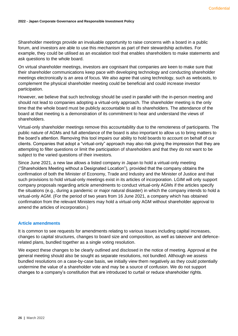Shareholder meetings provide an invaluable opportunity to raise concerns with a board in a public forum, and investors are able to use this mechanism as part of their stewardship activities. For example, they could be utilised as an escalation tool that enables shareholders to make statements and ask questions to the whole board.

On virtual shareholder meetings, investors are cognisant that companies are keen to make sure that their shareholder communications keep pace with developing technology and conducting shareholder meetings electronically is an area of focus. We also agree that using technology, such as webcasts, to complement the physical shareholder meeting could be beneficial and could increase investor participation.

However, we believe that such technology should be used in parallel with the in-person meeting and should not lead to companies adopting a virtual-only approach. The shareholder meeting is the only time that the whole board must be publicly accountable to all its shareholders. The attendance of the board at that meeting is a demonstration of its commitment to hear and understand the views of shareholders.

Virtual-only shareholder meetings remove this accountability due to the remoteness of participants. The public nature of AGMs and full attendance of the board is also important to allow us to bring matters to the board's attention. Removing this tool impairs our ability to hold boards to account on behalf of our clients. Companies that adopt a "virtual-only" approach may also risk giving the impression that they are attempting to filter questions or limit the participation of shareholders and that they do not want to be subject to the varied questions of their investors.

Since June 2021, a new law allows a listed company in Japan to hold a virtual-only meeting ("Shareholders Meeting without a Designated Location"), provided that the company obtains the confirmation of both the Minister of Economy, Trade and Industry and the Minister of Justice and that such provisions to hold virtual-only meetings exist in its articles of incorporation. LGIM will only support company proposals regarding article amendments to conduct virtual-only AGMs if the articles specify the situations (e.g., during a pandemic or major natural disaster) in which the company intends to hold a virtual-only AGM. (For the period of two years from 16 June 2021, a company which has obtained confirmation from the relevant Ministers may hold a virtual-only AGM without shareholder approval to amend the articles of incorporation.)

# <span id="page-25-0"></span>**Article amendments**

It is common to see requests for amendments relating to various issues including capital increases, changes to capital structures, changes to board size and composition, as well as takeover and defencerelated plans, bundled together as a single voting resolution.

We expect these changes to be clearly outlined and disclosed in the notice of meeting. Approval at the general meeting should also be sought as separate resolutions, not bundled. Although we assess bundled resolutions on a case-by-case basis, we initially view them negatively as they could potentially undermine the value of a shareholder vote and may be a source of confusion. We do not support changes to a company's constitution that are introduced to curtail or reduce shareholder rights.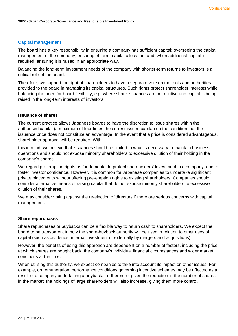# <span id="page-26-0"></span>**Capital management**

The board has a key responsibility in ensuring a company has sufficient capital; overseeing the capital management of the company; ensuring efficient capital allocation; and, when additional capital is required, ensuring it is raised in an appropriate way.

Balancing the long-term investment needs of the company with shorter-term returns to investors is a critical role of the board.

Therefore, we support the right of shareholders to have a separate vote on the tools and authorities provided to the board in managing its capital structures. Such rights protect shareholder interests while balancing the need for board flexibility; e.g. where share issuances are not dilutive and capital is being raised in the long-term interests of investors.

# <span id="page-26-1"></span>**Issuance of shares**

The current practice allows Japanese boards to have the discretion to issue shares within the authorised capital (a maximum of four times the current issued capital) on the condition that the issuance price does not constitute an advantage. In the event that a price is considered advantageous, shareholder approval will be required. With

this in mind, we believe that issuances should be limited to what is necessary to maintain business operations and should not expose minority shareholders to excessive dilution of their holding in the company's shares.

We regard pre-emption rights as fundamental to protect shareholders' investment in a company, and to foster investor confidence. However, it is common for Japanese companies to undertake significant private placements without offering pre-emption rights to existing shareholders. Companies should consider alternative means of raising capital that do not expose minority shareholders to excessive dilution of their shares.

We may consider voting against the re-election of directors if there are serious concerns with capital management.

### <span id="page-26-2"></span>**Share repurchases**

Share repurchases or buybacks can be a flexible way to return cash to shareholders. We expect the board to be transparent in how the share-buyback authority will be used in relation to other uses of capital (such as dividends, internal investment or externally by mergers and acquisitions).

However, the benefits of using this approach are dependent on a number of factors, including the price at which shares are bought back, the company's individual financial circumstances and wider market conditions at the time.

When utilising this authority, we expect companies to take into account its impact on other issues. For example, on remuneration, performance conditions governing incentive schemes may be affected as a result of a company undertaking a buyback. Furthermore, given the reduction in the number of shares in the market, the holdings of large shareholders will also increase, giving them more control.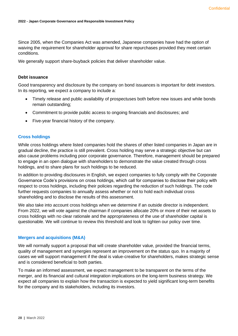Since 2005, when the Companies Act was amended, Japanese companies have had the option of waiving the requirement for shareholder approval for share repurchases provided they meet certain conditions.

We generally support share-buyback policies that deliver shareholder value.

# <span id="page-27-0"></span>**Debt issuance**

Good transparency and disclosure by the company on bond issuances is important for debt investors. In its reporting, we expect a company to include a:

- Timely release and public availability of prospectuses both before new issues and while bonds remain outstanding;
- Commitment to provide public access to ongoing financials and disclosures; and
- Five-year financial history of the company.

### <span id="page-27-1"></span>**Cross holdings**

While cross holdings where listed companies hold the shares of other listed companies in Japan are in gradual decline, the practice is still prevalent. Cross holding may serve a strategic objective but can also cause problems including poor corporate governance. Therefore, management should be prepared to engage in an open dialogue with shareholders to demonstrate the value created through cross holdings, and to share plans for such holdings to be reduced.

In addition to providing disclosures in English, we expect companies to fully comply with the Corporate Governance Code's provisions on cross holdings, which call for companies to disclose their policy with respect to cross holdings, including their policies regarding the reduction of such holdings. The code further requests companies to annually assess whether or not to hold each individual cross shareholding and to disclose the results of this assessment.

We also take into account cross holdings when we determine if an outside director is independent. From 2022, we will vote against the chairman if companies allocate 20% or more of their net assets to cross holdings with no clear rationale and the appropriateness of the use of shareholder capital is questionable. We will continue to review this threshold and look to tighten our policy over time.

### <span id="page-27-2"></span>**Mergers and acquisitions (M&A)**

We will normally support a proposal that will create shareholder value, provided the financial terms, quality of management and synergies represent an improvement on the status quo. In a majority of cases we will support management if the deal is value-creative for shareholders, makes strategic sense and is considered beneficial to both parties.

To make an informed assessment, we expect management to be transparent on the terms of the merger, and its financial and cultural integration implications on the long-term business strategy. We expect all companies to explain how the transaction is expected to yield significant long-term benefits for the company and its stakeholders, including its investors.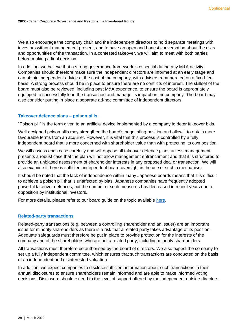We also encourage the company chair and the independent directors to hold separate meetings with investors without management present, and to have an open and honest conversation about the risks and opportunities of the transaction. In a contested takeover, we will aim to meet with both parties before making a final decision.

In addition, we believe that a strong governance framework is essential during any M&A activity. Companies should therefore make sure the independent directors are informed at an early stage and can obtain independent advice at the cost of the company, with advisers remunerated on a fixed-fee basis. A strong process should be in place to ensure there are no conflicts of interest. The skillset of the board must also be reviewed, including past M&A experience, to ensure the board is appropriately equipped to successfully lead the transaction and manage its impact on the company. The board may also consider putting in place a separate ad-hoc committee of independent directors.

# <span id="page-28-0"></span>**Takeover defence plans – poison pills**

"Poison pill" is the term given to an artificial device implemented by a company to deter takeover bids.

Well-designed poison pills may strengthen the board's negotiating position and allow it to obtain more favourable terms from an acquirer. However, it is vital that this process is controlled by a fully independent board that is more concerned with shareholder value than with protecting its own position.

We will assess each case carefully and will oppose all takeover defence plans unless management presents a robust case that the plan will not allow management entrenchment and that it is structured to provide an unbiased assessment of shareholder interests in any proposed deal or transaction. We will also examine if there is sufficient independent board oversight in the use of such a mechanism.

It should be noted that the lack of independence within many Japanese boards means that it is difficult to achieve a poison pill that is unaffected by bias. Japanese companies have frequently adopted powerful takeover defences, but the number of such measures has decreased in recent years due to opposition by institutional investors.

For more details, please refer to our board guide on the topic available [here.](https://www.lgim.com/landg-assets/lgim/_document-library/capabilities/a-guide-to-mergers-and-acquisitions-board-oversight.pdf)

### <span id="page-28-1"></span>**Related-party transactions**

Related-party transactions (e.g. between a controlling shareholder and an issuer) are an important issue for minority shareholders as there is a risk that a related party takes advantage of its position. Adequate safeguards must therefore be put in place to provide protection for the interests of the company and of the shareholders who are not a related party, including minority shareholders.

All transactions must therefore be authorised by the board of directors. We also expect the company to set up a fully independent committee, which ensures that such transactions are conducted on the basis of an independent and disinterested valuation.

In addition, we expect companies to disclose sufficient information about such transactions in their annual disclosures to ensure shareholders remain informed and are able to make informed voting decisions. Disclosure should extend to the level of support offered by the independent outside directors.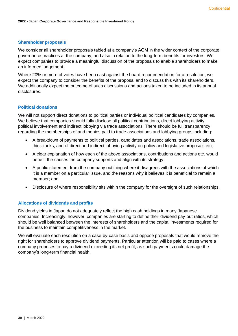# <span id="page-29-0"></span>**Shareholder proposals**

We consider all shareholder proposals tabled at a company's AGM in the wider context of the corporate governance practices at the company, and also in relation to the long-term benefits for investors. We expect companies to provide a meaningful discussion of the proposals to enable shareholders to make an informed judgement.

Where 20% or more of votes have been cast against the board recommendation for a resolution, we expect the company to consider the benefits of the proposal and to discuss this with its shareholders. We additionally expect the outcome of such discussions and actions taken to be included in its annual disclosures.

# <span id="page-29-1"></span>**Political donations**

We will not support direct donations to political parties or individual political candidates by companies. We believe that companies should fully disclose all political contributions, direct lobbying activity, political involvement and indirect lobbying via trade associations. There should be full transparency regarding the memberships of and monies paid to trade associations and lobbying groups including:

- A breakdown of payments to political parties, candidates and associations, trade associations, think-tanks, and of direct and indirect lobbying activity on policy and legislative proposals etc;
- A clear explanation of how each of the above associations, contributions and actions etc. would benefit the causes the company supports and align with its strategy;
- A public statement from the company outlining where it disagrees with the associations of which it is a member on a particular issue, and the reasons why it believes it is beneficial to remain a member; and
- Disclosure of where responsibility sits within the company for the oversight of such relationships.

# <span id="page-29-2"></span>**Allocations of dividends and profits**

Dividend yields in Japan do not adequately reflect the high cash holdings in many Japanese companies. Increasingly, however, companies are starting to define their dividend pay-out ratios, which should be well balanced between the interests of shareholders and the capital investments required for the business to maintain competitiveness in the market.

We will evaluate each resolution on a case-by-case basis and oppose proposals that would remove the right for shareholders to approve dividend payments. Particular attention will be paid to cases where a company proposes to pay a dividend exceeding its net profit, as such payments could damage the company's long-term financial health.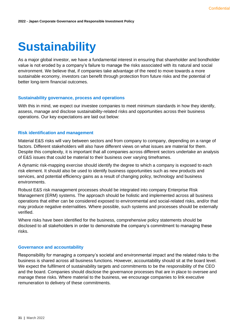# <span id="page-30-0"></span>**Sustainability**

As a major global investor, we have a fundamental interest in ensuring that shareholder and bondholder value is not eroded by a company's failure to manage the risks associated with its natural and social environment. We believe that, if companies take advantage of the need to move towards a more sustainable economy, investors can benefit through protection from future risks and the potential of better long-term financial outcomes.

### <span id="page-30-1"></span>**Sustainability governance, process and operations**

With this in mind, we expect our investee companies to meet minimum standards in how they identify, assess, manage and disclose sustainability-related risks and opportunities across their business operations. Our key expectations are laid out below:

### <span id="page-30-2"></span>**Risk identification and management**

Material E&S risks will vary between sectors and from company to company, depending on a range of factors. Different stakeholders will also have different views on what issues are material for them. Despite this complexity, it is important that all companies across different sectors undertake an analysis of E&S issues that could be material to their business over varying timeframes.

A dynamic risk-mapping exercise should identify the degree to which a company is exposed to each risk element. It should also be used to identify business opportunities such as new products and services, and potential efficiency gains as a result of changing policy, technology and business environments.

Robust E&S risk management processes should be integrated into company Enterprise Risk Management (ERM) systems. The approach should be holistic and implemented across all business operations that either can be considered exposed to environmental and social-related risks, and/or that may produce negative externalities. Where possible, such systems and processes should be externally verified.

Where risks have been identified for the business, comprehensive policy statements should be disclosed to all stakeholders in order to demonstrate the company's commitment to managing these risks.

#### <span id="page-30-3"></span>**Governance and accountability**

Responsibility for managing a company's societal and environmental impact and the related risks to the business is shared across all business functions. However, accountability should sit at the board level. We expect the fulfilment of sustainability targets and commitments to be the responsibility of the CEO and the board. Companies should disclose the governance processes that are in place to oversee and manage these risks. Where material to the business, we encourage companies to link executive remuneration to delivery of these commitments.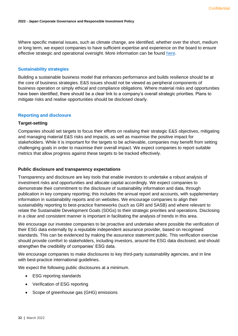Where specific material issues, such as climate change, are identified, whether over the short, medium or long term, we expect companies to have sufficient expertise and experience on the board to ensure effective strategic and operational oversight. More information can be found [here.](https://www.lgim.com/landg-assets/lgim/_document-library/capabilities/a-guide-to-climate-governance.pdf)

# <span id="page-31-0"></span>**Sustainability strategies**

Building a sustainable business model that enhances performance and builds resilience should be at the core of business strategies. E&S issues should not be viewed as peripheral components of business operation or simply ethical and compliance obligations. Where material risks and opportunities have been identified, there should be a clear link to a company's overall strategic priorities. Plans to mitigate risks and realise opportunities should be disclosed clearly.

# <span id="page-31-1"></span>**Reporting and disclosure**

### <span id="page-31-2"></span>**Target-setting**

Companies should set targets to focus their efforts on realising their strategic E&S objectives, mitigating and managing material E&S risks and impacts, as well as maximise the positive impact for stakeholders. While it is important for the targets to be achievable, companies may benefit from setting challenging goals in order to maximise their overall impact. We expect companies to report suitable metrics that allow progress against these targets to be tracked effectively.

## <span id="page-31-3"></span>**Public disclosure and transparency expectations**

Transparency and disclosure are key tools that enable investors to undertake a robust analysis of investment risks and opportunities and allocate capital accordingly. We expect companies to demonstrate their commitment to the disclosure of sustainability information and data, through publication in key company reporting; this includes the annual report and accounts, with supplementary information in sustainability reports and on websites. We encourage companies to align their sustainability reporting to best-practice frameworks (such as GRI and SASB) and where relevant to relate the Sustainable Development Goals (SDGs) to their strategic priorities and operations. Disclosing in a clear and consistent manner is important in facilitating the analysis of trends in this area.

We encourage our investee companies to be proactive and undertake where possible the verification of their ESG data externally by a reputable independent assurance provider, based on recognised standards. This can be evidenced by making the assurance statement public. This verification exercise should provide comfort to stakeholders, including investors, around the ESG data disclosed, and should strengthen the credibility of companies' ESG data.

We encourage companies to make disclosures to key third-party sustainability agencies, and in line with best-practice international guidelines.

We expect the following public disclosures at a minimum.

- ESG reporting standards
- Verification of ESG reporting
- Scope of greenhouse gas (GHG) emissions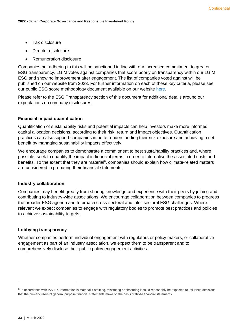- Tax disclosure
- Director disclosure
- Remuneration disclosure

Companies not adhering to this will be sanctioned in line with our increased commitment to greater ESG transparency. LGIM votes against companies that score poorly on transparency within our LGIM ESG and show no improvement after engagement. The list of companies voted against will be published on our website from 2023. For further information on each of these key criteria, please see our public ESG score methodology document available on our website [here.](https://www.lgim.com/files/_document-library/capabilities/lgims-esg-score-information-for-companies.pdf)

Please refer to the ESG Transparency section of this document for additional details around our expectations on company disclosures.

# <span id="page-32-0"></span>**Financial impact quantification**

Quantification of sustainability risks and potential impacts can help investors make more informed capital allocation decisions, according to their risk, return and impact objectives. Quantification practices can also support companies in better understanding their risk exposure and achieving a net benefit by managing sustainability impacts effectively.

We encourage companies to demonstrate a commitment to best sustainability practices and, where possible, seek to quantify the impact in financial terms in order to internalise the associated costs and benefits. To the extent that they are material<sup>6</sup>, companies should explain how climate-related matters are considered in preparing their financial statements.

### <span id="page-32-1"></span>**Industry collaboration**

Companies may benefit greatly from sharing knowledge and experience with their peers by joining and contributing to industry-wide associations. We encourage collaboration between companies to progress the broader ESG agenda and to broach cross-sectoral and inter-sectoral ESG challenges. Where relevant we expect companies to engage with regulatory bodies to promote best practices and policies to achieve sustainability targets.

# <span id="page-32-2"></span>**Lobbying transparency**

Whether companies perform individual engagement with regulators or policy makers, or collaborative engagement as part of an industry association, we expect them to be transparent and to comprehensively disclose their public policy engagement activities.

 $6$  In accordance with IAS 1.7, information is material if omitting, misstating or obscuring it could reasonably be expected to influence decisions that the primary users of general purpose financial statements make on the basis of those financial statements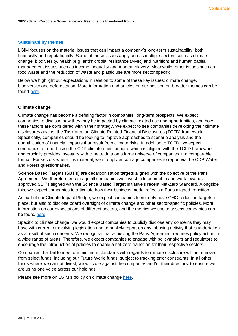# <span id="page-33-0"></span>**Sustainability themes**

LGIM focuses on the material issues that can impact a company's long-term sustainability, both financially and reputationally. Some of these issues apply across multiple sectors such as climate change, biodiversity, health (e.g. antimicrobial resistance (AMR) and nutrition) and human capital management issues such as income inequality and modern slavery. Meanwhile, other issues such as food waste and the reduction of waste and plastic use are more sector specific.

Below we highlight our expectations in relation to some of these key issues: climate change, biodiversity and deforestation. More information and articles on our position on broader themes can be found [here.](https://www.lgim.com/uk/en/capabilities/corporate-governance/influencing-the-debate/)

# <span id="page-33-1"></span>**Climate change**

Climate change has become a defining factor in companies' long-term prospects. We expect companies to disclose how they may be impacted by climate-related risk and opportunities, and how these factors are considered within their strategy. We expect to see companies developing their climate disclosures against the Taskforce on Climate Related Financial Disclosures (TCFD) framework. Specifically, companies should be looking to improve approaches to scenario analysis and the quantification of financial impacts that result from climate risks. In addition to TCFD, we expect companies to report using the CDP climate questionnaire which is aligned with the TCFD framework and crucially provides investors with climate data on a large universe of companies in a comparable format. For sectors where it is material, we strongly encourage companies to report via the CDP Water and Forest questionnaires.

Science Based Targets (SBT's) are decarbonisation targets aligned with the objective of the Paris Agreement. We therefore encourage all companies we invest in to commit to and work towards approved SBT's aligned with the Science Based Target initiative's recent Net-Zero Standard. Alongside this, we expect companies to articulate how their business model reflects a Paris aligned transition.

As part of our Climate Impact Pledge, we expect companies to not only have GHG reduction targets in place, but also to disclose board oversight of climate change and other sector-specific policies. More information on our expectations of different sectors, and the metrics we use to assess companies can be found [here.](https://www.lgim.com/uk/en/responsible-investing/climate-impact-pledge/)

Specific to climate change, we would expect companies to publicly disclose any concerns they may have with current or evolving legislation and to publicly report on any lobbying activity that is undertaken as a result of such concerns. We recognise that achieving the Paris Agreement requires policy action in a wide range of areas. Therefore, we expect companies to engage with policymakers and regulators to encourage the introduction of policies to enable a net-zero transition for their respective sectors.

Companies that fail to meet our minimum standards with regards to climate disclosure will be removed from select funds, including our Future World funds, subject to tracking error constraints. In all other funds where we cannot divest, we will vote against the companies and/or their directors, to ensure we are using one voice across our holdings.

Please see more on LGIM's policy on climate change [here.](https://www.lgim.com/landg-assets/lgim/_document-library/capabilities/lgim-climate-change-policy.pdf)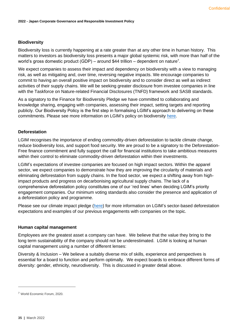# <span id="page-34-0"></span>**Biodiversity**

Biodiversity loss is currently happening at a rate greater than at any other time in human history. This matters to investors as biodiversity loss presents a major global systemic risk, with more than half of the world's gross domestic product (GDP) – around \$44 trillion – dependent on nature<sup>7</sup>.

We expect companies to assess their impact and dependency on biodiversity with a view to managing risk, as well as mitigating and, over time, reversing negative impacts. We encourage companies to commit to having an overall positive impact on biodiversity and to consider direct as well as indirect activities of their supply chains. We will be seeking greater disclosure from investee companies in line with the Taskforce on Nature-related Financial Disclosures (TNFD) framework and SASB standards.

As a signatory to the Finance for Biodiversity Pledge we have committed to collaborating and knowledge sharing, engaging with companies, assessing their impact, setting targets and reporting publicly. Our Biodiversity Policy is the first step in formalising LGIM's approach to delivering on these commitments. Please see more information on LGIM's policy on biodiversity [here.](https://www.lgim.com/landg-assets/lgim/_document-library/capabilities/lgim-biodiversity-policy.pdf)

# <span id="page-34-1"></span>**Deforestation**

LGIM recognises the importance of ending commodity-driven deforestation to tackle climate change, reduce biodiversity loss, and support food security. We are proud to be a signatory to the Deforestation-Free finance commitment and fully support the call for financial institutions to take ambitious measures within their control to eliminate commodity-driven deforestation within their investments.

LGIM's expectations of investee companies are focused on high impact sectors. Within the apparel sector, we expect companies to demonstrate how they are improving the circularity of materials and eliminating deforestation from supply chains. In the food sector, we expect a shifting away from highimpact products and progress on decarbonising agricultural supply chains. The lack of a comprehensive deforestation policy constitutes one of our 'red lines' when deciding LGIM's priority engagement companies. Our minimum voting standards also consider the presence and application of a deforestation policy and programme.

Please see our climate impact pledge [\(here\)](https://www.lgim.com/uk/en/responsible-investing/climate-impact-pledge/) for more information on LGIM's sector-based deforestation expectations and examples of our previous engagements with companies on the topic.

### <span id="page-34-2"></span>**Human capital management**

Employees are the greatest asset a company can have. We believe that the value they bring to the long term sustainability of the company should not be underestimated. LGIM is looking at human capital management using a number of different lenses:

Diversity & Inclusion – We believe a suitably diverse mix of skills, experience and perspectives is essential for a board to function and perform optimally. We expect boards to embrace different forms of diversity: gender, ethnicity, neurodiversity. This is discussed in greater detail above.

<sup>7</sup> World Economic Forum, 2020.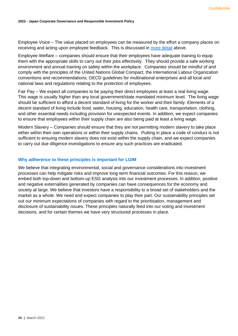Employee Voice – The value placed on employees can be measured by the effort a company places on receiving and acting upon employee feedback. This is discussed in [more detail](#page-15-0) above.

Employee Welfare – companies should ensure that their employees have adequate training to equip them with the appropriate skills to carry out their jobs effectively. They should provide a safe working environment and annual training on safety within the workplace. Companies should be mindful of and comply with the principles of the United Nations Global Compact, the International Labour Organization conventions and recommendations; OECD guidelines for multinational enterprises and all local and national laws and regulations relating to the protection of employees.

Fair Pay – We expect all companies to be paying their direct employees at least a real living wage. This wage is usually higher than any local government/state mandated minimum level. The living wage should be sufficient to afford a decent standard of living for the worker and their family. Elements of a decent standard of living include food, water, housing, education, health care, transportation, clothing, and other essential needs including provision for unexpected events. In addition, we expect companies to ensure that employees within their supply chain are also being paid at least a living wage.

Modern Slavery – Companies should ensure that they are not permitting modern slavery to take place either within their own operations or within their supply chains. Putting in place a code of conduct is not sufficient to ensuing modern slavery does not exist within the supply chain, and we expect companies to carry out due diligence investigations to ensure any such practices are eradicated.

# <span id="page-35-0"></span>**Why adherence to these principles is important for LGIM**

We believe that integrating environmental, social and governance considerations into investment processes can help mitigate risks and improve long-term financial outcomes. For this reason, we embed both top-down and bottom-up ESG analysis into our investment processes. In addition, positive and negative externalities generated by companies can have consequences for the economy and society at large. We believe that investors have a responsibility to a broad set of stakeholders and the market as a whole. We need and expect companies to play their part. Our sustainability principles set out our minimum expectations of companies with regard to the prioritisation, management and disclosure of sustainability issues. These principles naturally feed into our voting and investment decisions, and for certain themes we have very structured processes in place.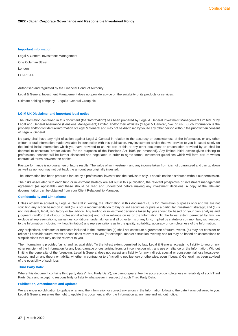#### **Important information**

Legal & General Investment Management

One Coleman Street

London

EC2R 5AA

Authorised and regulated by the Financial Conduct Authority.

Legal & General Investment Management does not provide advice on the suitability of its products or services.

Ultimate holding company - Legal & General Group plc.

#### **LGIM UK Disclaimer and important legal notice**

The information contained in this document (the 'Information') has been prepared by Legal & General Investment Management Limited, or by Legal and General Assurance (Pensions Management) Limited and/or their affiliates ('Legal & General', 'we' or 'us'). Such Information is the property and/or confidential information of Legal & General and may not be disclosed by you to any other person without the prior written consent of Legal & General.

No party shall have any right of action against Legal & General in relation to the accuracy or completeness of the Information, or any other written or oral information made available in connection with this publication. Any investment advice that we provide to you is based solely on the limited initial information which you have provided to us. No part of this or any other document or presentation provided by us shall be deemed to constitute 'proper advice' for the purposes of the Pensions Act 1995 (as amended). Any limited initial advice given relating to professional services will be further discussed and negotiated in order to agree formal investment guidelines which will form part of written contractual terms between the parties.

Past performance is no guarantee of future results. The value of an investment and any income taken from it is not guaranteed and can go down as well as up, you may not get back the amount you originally invested.

The Information has been produced for use by a professional investor and their advisors only. It should not be distributed without our permission.

The risks associated with each fund or investment strategy are set out in this publication, the relevant prospectus or investment management agreement (as applicable) and these should be read and understood before making any investment decisions. A copy of the relevant documentation can be obtained from your Client Relationship Manager.

#### **Confidentiality and Limitations:**

Unless otherwise agreed by Legal & General in writing, the Information in this document (a) is for information purposes only and we are not soliciting any action based on it, and (b) is not a recommendation to buy or sell securities or pursue a particular investment strategy; and (c) is not investment, legal, regulatory or tax advice. Any trading or investment decisions taken by you should be based on your own analysis and judgment (and/or that of your professional advisors) and not in reliance on us or the Information. To the fullest extent permitted by law, we exclude all representations, warranties, conditions, undertakings and all other terms of any kind, implied by statute or common law, with respect to the Information including (without limitation) any representations as to the quality, suitability, accuracy or completeness of the Information.

Any projections, estimates or forecasts included in the Information (a) shall not constitute a guarantee of future events, (b) may not consider or reflect all possible future events or conditions relevant to you (for example, market disruption events); and (c) may be based on assumptions or simplifications that may not be relevant to you.

The Information is provided 'as is' and 'as available'. To the fullest extent permitted by law, Legal & General accepts no liability to you or any other recipient of the Information for any loss, damage or cost arising from, or in connection with, any use or reliance on the Information. Without limiting the generality of the foregoing, Legal & General does not accept any liability for any indirect, special or consequential loss howsoever caused and on any theory or liability, whether in contract or tort (including negligence) or otherwise, even if Legal & General has been advised of the possibility of such loss.

#### **Third Party Data:**

Where this document contains third party data ('Third Party Data'), we cannot guarantee the accuracy, completeness or reliability of such Third Party Data and accept no responsibility or liability whatsoever in respect of such Third Party Data.

#### **Publication, Amendments and Updates:**

We are under no obligation to update or amend the Information or correct any errors in the Information following the date it was delivered to you. Legal & General reserves the right to update this document and/or the Information at any time and without notice.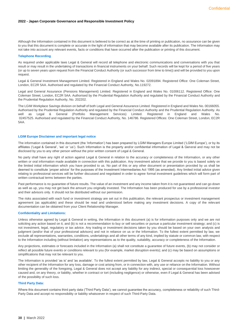#### **2022 - Japan Corporate Governance and Responsible Investment Policy**

Although the Information contained in this document is believed to be correct as at the time of printing or publication, no assurance can be given to you that this document is complete or accurate in the light of information that may become available after its publication. The Information may not take into account any relevant events, facts or conditions that have occurred after the publication or printing of this document.

#### **Telephone Recording**

As required under applicable laws Legal & General will record all telephone and electronic communications and conversations with you that result or may result in the undertaking of transactions in financial instruments on your behalf. Such records will be kept for a period of five years (or up to seven years upon request from the Financial Conduct Authority (or such successor from time to time)) and will be provided to you upon request.

Legal & General Investment Management Limited. Registered in England and Wales No. 02091894. Registered Office: One Coleman Street, London, EC2R 5AA. Authorised and regulated by the Financial Conduct Authority, No.119272.

Legal and General Assurance (Pensions Management) Limited. Registered in England and Wales No. 01006112. Registered Office: One Coleman Street, London, EC2R 5AA. Authorised by the Prudential Regulation Authority and regulated by the Financial Conduct Authority and the Prudential Regulation Authority, No. 202202.

The LGIM Workplace Savings division on behalf of both Legal and General Assurance Limited. Registered in England and Wales No. 00166055. Authorised by the Prudential Regulation Authority and regulated by the Financial Conduct Authority and the Prudential Regulation Authority. As well as Legal & General (Portfolio Management Services) Limited. Registered in England and Wales No. 02457525. Authorised and regulated by the Financial Conduct Authority, No. 146786. Registered Offices: One Coleman Street, London, EC2R 5AA.

#### **LGIM Europe Disclaimer and important legal notice**

The information contained in this document (the 'Information') has been prepared by LGIM Managers Europe Limited ('LGIM Europe'), or by its affiliates ('Legal & General', 'we' or 'us'). Such Information is the property and/or confidential information of Legal & General and may not be disclosed by you to any other person without the prior written consent of Legal & General.

No party shall have any right of action against Legal & General in relation to the accuracy or completeness of the Information, or any other written or oral information made available in connection with this publication. Any investment advice that we provide to you is based solely on the limited initial information which you have provided to us. No part of this or any other document or presentation provided by us shall be deemed to constitute 'proper advice' for the purposes of the Investment Intermediaries Act 1995 (as amended). Any limited initial advice given relating to professional services will be further discussed and negotiated in order to agree formal investment guidelines which will form part of written contractual terms between the parties.

Past performance is no guarantee of future results. The value of an investment and any income taken from it is not guaranteed and can go down as well as up, you may not get back the amount you originally invested. The Information has been produced for use by a professional investor and their advisors only. It should not be distributed without our permission.

The risks associated with each fund or investment strategy are set out in this publication, the relevant prospectus or investment management agreement (as applicable) and these should be read and understood before making any investment decisions. A copy of the relevant documentation can be obtained from your Client Relationship Manager.

#### **Confidentiality and Limitations:**

Unless otherwise agreed by Legal & General in writing, the Information in this document (a) is for information purposes only and we are not soliciting any action based on it, and (b) is not a recommendation to buy or sell securities or pursue a particular investment strategy; and (c) is not investment, legal, regulatory or tax advice. Any trading or investment decisions taken by you should be based on your own analysis and judgment (and/or that of your professional advisors) and not in reliance on us or the Information. To the fullest extent permitted by law, we exclude all representations, warranties, conditions, undertakings and all other terms of any kind, implied by statute or common law, with respect to the Information including (without limitation) any representations as to the quality, suitability, accuracy or completeness of the Information.

Any projections, estimates or forecasts included in the Information (a) shall not constitute a guarantee of future events, (b) may not consider or reflect all possible future events or conditions relevant to you (for example, market disruption events); and (c) may be based on assumptions or simplifications that may not be relevant to you.

The Information is provided 'as is' and 'as available'. To the fullest extent permitted by law, Legal & General accepts no liability to you or any other recipient of the Information for any loss, damage or cost arising from, or in connection with, any use or reliance on the Information. Without limiting the generality of the foregoing, Legal & General does not accept any liability for any indirect, special or consequential loss howsoever caused and, on any theory, or liability, whether in contract or tort (including negligence) or otherwise, even if Legal & General has been advised of the possibility of such loss.

#### **Third Party Data:**

Where this document contains third party data ('Third Party Data'), we cannot guarantee the accuracy, completeness or reliability of such Third-Party Data and accept no responsibility or liability whatsoever in respect of such Third-Party Data.